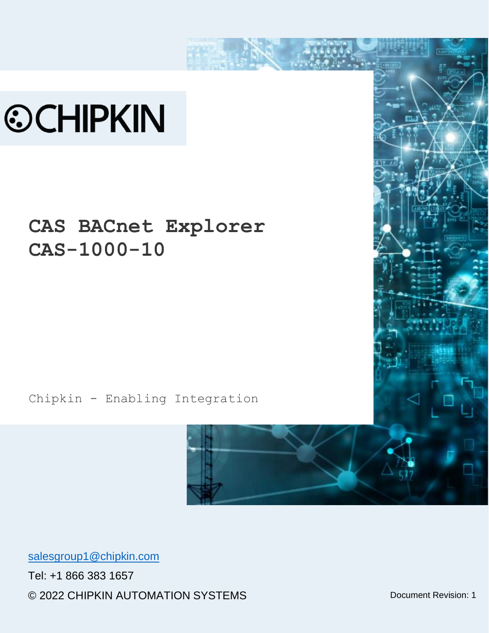# **©CHIPKIN**

# **CAS BACnet Explorer CAS-1000-10**

Chipkin - Enabling Integration



[salesgroup1@chipkin.com](mailto:salesgroup1@chipkin.com)

Tel: +1 866 383 1657 © 2022 CHIPKIN AUTOMATION SYSTEMS <br>
Document Revision: 1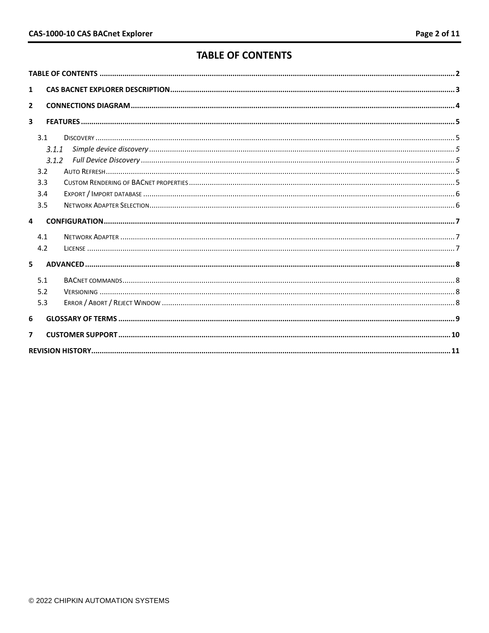# **TABLE OF CONTENTS**

<span id="page-1-0"></span>

| $\mathbf{1}$            |       |  |  |  |  |
|-------------------------|-------|--|--|--|--|
| $\overline{2}$          |       |  |  |  |  |
| $\overline{\mathbf{3}}$ |       |  |  |  |  |
|                         | 3.1   |  |  |  |  |
|                         | 3.1.1 |  |  |  |  |
|                         | 3.1.2 |  |  |  |  |
|                         | 3.2   |  |  |  |  |
|                         | 3.3   |  |  |  |  |
|                         | 3.4   |  |  |  |  |
|                         | 3.5   |  |  |  |  |
| $\Delta$                |       |  |  |  |  |
|                         | 4.1   |  |  |  |  |
|                         | 4.2   |  |  |  |  |
| 5.                      |       |  |  |  |  |
|                         | 5.1   |  |  |  |  |
|                         | 5.2   |  |  |  |  |
|                         | 5.3   |  |  |  |  |
| 6                       |       |  |  |  |  |
| 7                       |       |  |  |  |  |
|                         |       |  |  |  |  |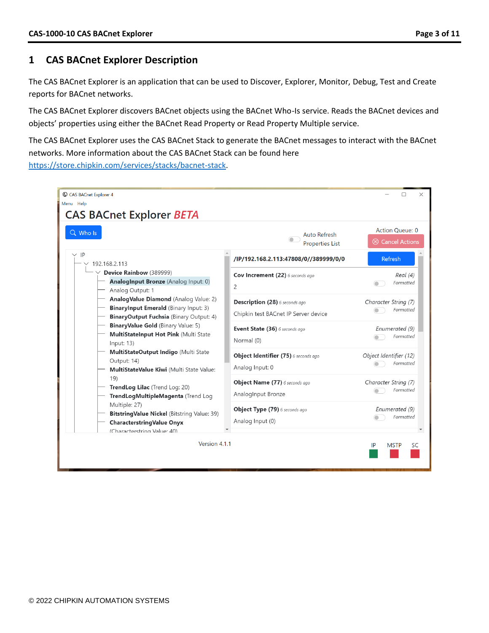## <span id="page-2-0"></span>**1 CAS BACnet Explorer Description**

The CAS BACnet Explorer is an application that can be used to Discover, Explorer, Monitor, Debug, Test and Create reports for BACnet networks.

The CAS BACnet Explorer discovers BACnet objects using the BACnet Who-Is service. Reads the BACnet devices and objects' properties using either the BACnet Read Property or Read Property Multiple service.

The CAS BACnet Explorer uses the CAS BACnet Stack to generate the BACnet messages to interact with the BACnet networks. More information about the CAS BACnet Stack can be found here [https://store.chipkin.com/services/stacks/bacnet-stack.](https://store.chipkin.com/services/stacks/bacnet-stack)

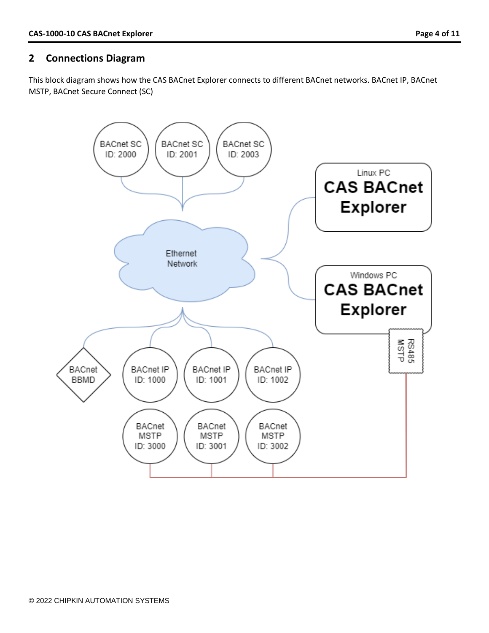# <span id="page-3-0"></span>**2 Connections Diagram**

This block diagram shows how the CAS BACnet Explorer connects to different BACnet networks. BACnet IP, BACnet MSTP, BACnet Secure Connect (SC)

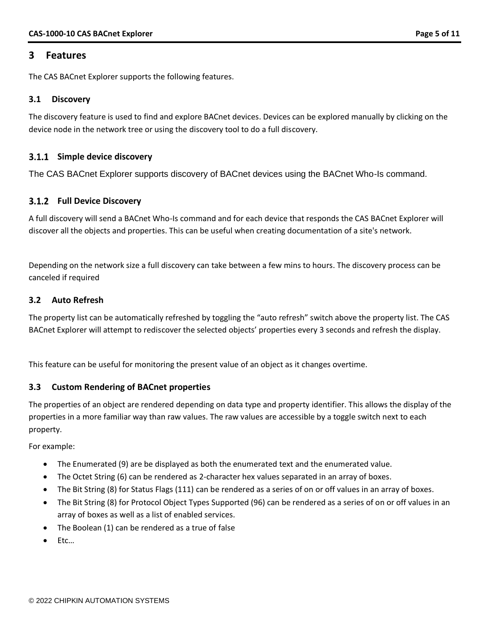#### <span id="page-4-0"></span>**3 Features**

The CAS BACnet Explorer supports the following features.

#### <span id="page-4-1"></span>**3.1 Discovery**

The discovery feature is used to find and explore BACnet devices. Devices can be explored manually by clicking on the device node in the network tree or using the discovery tool to do a full discovery.

#### <span id="page-4-2"></span>**Simple device discovery**

The CAS BACnet Explorer supports discovery of BACnet devices using the BACnet Who-Is command.

#### <span id="page-4-3"></span>**Full Device Discovery**

A full discovery will send a BACnet Who-Is command and for each device that responds the CAS BACnet Explorer will discover all the objects and properties. This can be useful when creating documentation of a site's network.

Depending on the network size a full discovery can take between a few mins to hours. The discovery process can be canceled if required

#### <span id="page-4-4"></span>**3.2 Auto Refresh**

The property list can be automatically refreshed by toggling the "auto refresh" switch above the property list. The CAS BACnet Explorer will attempt to rediscover the selected objects' properties every 3 seconds and refresh the display.

This feature can be useful for monitoring the present value of an object as it changes overtime.

#### <span id="page-4-5"></span>**3.3 Custom Rendering of BACnet properties**

The properties of an object are rendered depending on data type and property identifier. This allows the display of the properties in a more familiar way than raw values. The raw values are accessible by a toggle switch next to each property.

For example:

- The Enumerated (9) are be displayed as both the enumerated text and the enumerated value.
- The Octet String (6) can be rendered as 2-character hex values separated in an array of boxes.
- The Bit String (8) for Status Flags (111) can be rendered as a series of on or off values in an array of boxes.
- The Bit String (8) for Protocol Object Types Supported (96) can be rendered as a series of on or off values in an array of boxes as well as a list of enabled services.
- The Boolean (1) can be rendered as a true of false
- Etc…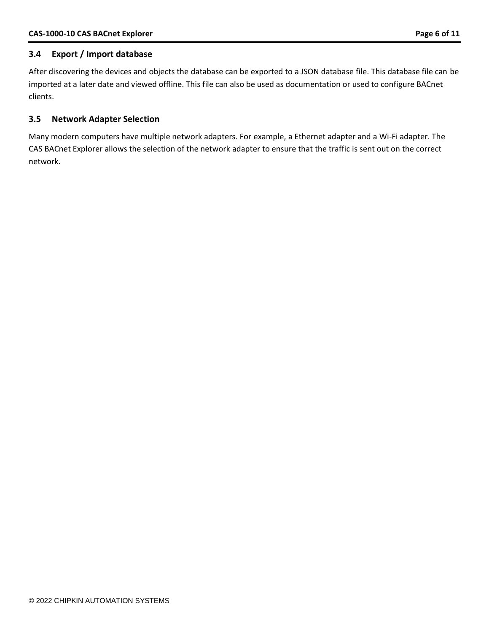#### <span id="page-5-0"></span>**3.4 Export / Import database**

After discovering the devices and objects the database can be exported to a JSON database file. This database file can be imported at a later date and viewed offline. This file can also be used as documentation or used to configure BACnet clients.

#### <span id="page-5-1"></span>**3.5 Network Adapter Selection**

Many modern computers have multiple network adapters. For example, a Ethernet adapter and a Wi-Fi adapter. The CAS BACnet Explorer allows the selection of the network adapter to ensure that the traffic is sent out on the correct network.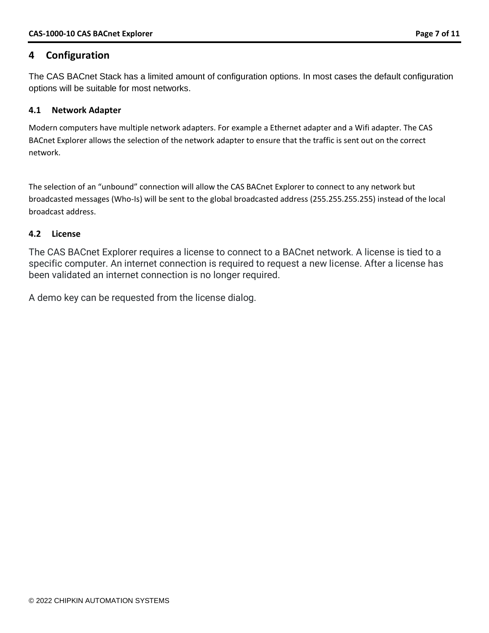# <span id="page-6-0"></span>**4 Configuration**

The CAS BACnet Stack has a limited amount of configuration options. In most cases the default configuration options will be suitable for most networks.

#### <span id="page-6-1"></span>**4.1 Network Adapter**

Modern computers have multiple network adapters. For example a Ethernet adapter and a Wifi adapter. The CAS BACnet Explorer allows the selection of the network adapter to ensure that the traffic is sent out on the correct network.

The selection of an "unbound" connection will allow the CAS BACnet Explorer to connect to any network but broadcasted messages (Who-Is) will be sent to the global broadcasted address (255.255.255.255) instead of the local broadcast address.

#### <span id="page-6-2"></span>**4.2 License**

The CAS BACnet Explorer requires a license to connect to a BACnet network. A license is tied to a specific computer. An internet connection is required to request a new license. After a license has been validated an internet connection is no longer required.

A demo key can be requested from the license dialog.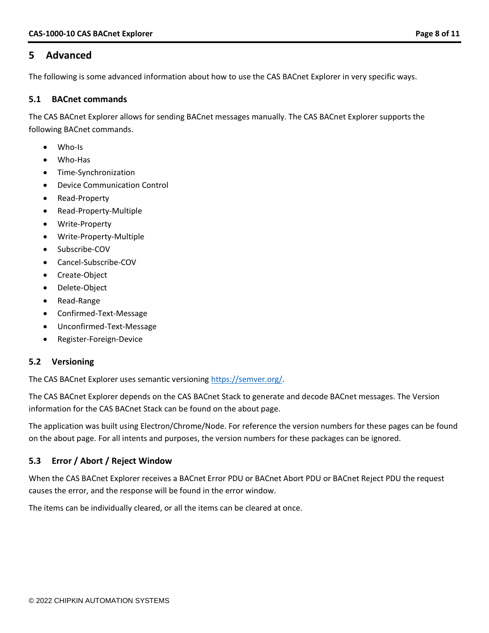## <span id="page-7-0"></span>**5 Advanced**

The following is some advanced information about how to use the CAS BACnet Explorer in very specific ways.

#### <span id="page-7-1"></span>**5.1 BACnet commands**

The CAS BACnet Explorer allows for sending BACnet messages manually. The CAS BACnet Explorer supports the following BACnet commands.

- Who-Is
- Who-Has
- Time-Synchronization
- Device Communication Control
- Read-Property
- Read-Property-Multiple
- Write-Property
- Write-Property-Multiple
- Subscribe-COV
- Cancel-Subscribe-COV
- Create-Object
- Delete-Object
- Read-Range
- Confirmed-Text-Message
- Unconfirmed-Text-Message
- Register-Foreign-Device

#### <span id="page-7-2"></span>**5.2 Versioning**

The CAS BACnet Explorer uses semantic versioning [https://semver.org/.](https://semver.org/)

The CAS BACnet Explorer depends on the CAS BACnet Stack to generate and decode BACnet messages. The Version information for the CAS BACnet Stack can be found on the about page.

The application was built using Electron/Chrome/Node. For reference the version numbers for these pages can be found on the about page. For all intents and purposes, the version numbers for these packages can be ignored.

#### <span id="page-7-3"></span>**5.3 Error / Abort / Reject Window**

When the CAS BACnet Explorer receives a BACnet Error PDU or BACnet Abort PDU or BACnet Reject PDU the request causes the error, and the response will be found in the error window.

The items can be individually cleared, or all the items can be cleared at once.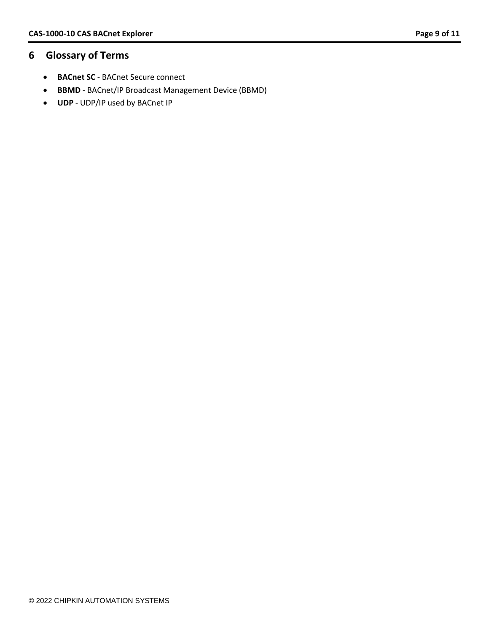# <span id="page-8-0"></span>**6 Glossary of Terms**

- **BACnet SC** BACnet Secure connect
- **BBMD** BACnet/IP Broadcast Management Device (BBMD)
- **UDP** UDP/IP used by BACnet IP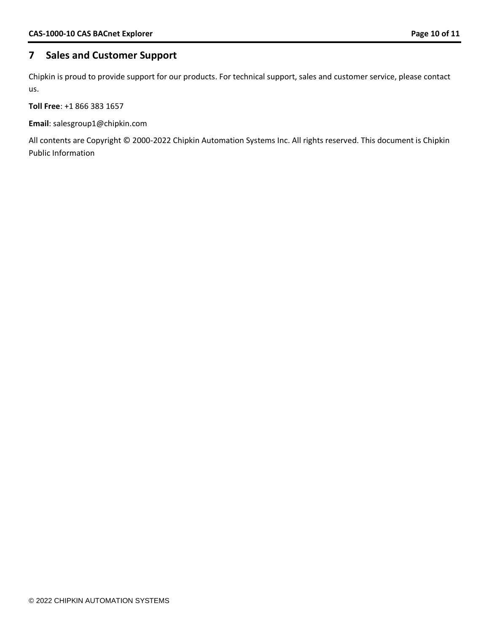# <span id="page-9-0"></span>**7 Sales and Customer Support**

Chipkin is proud to provide support for our products. For technical support, sales and customer service, please contact us.

**Toll Free**: +1 866 383 1657

**Email**: salesgroup1@chipkin.com

All contents are Copyright © 2000-2022 Chipkin Automation Systems Inc. All rights reserved. This document is Chipkin Public Information